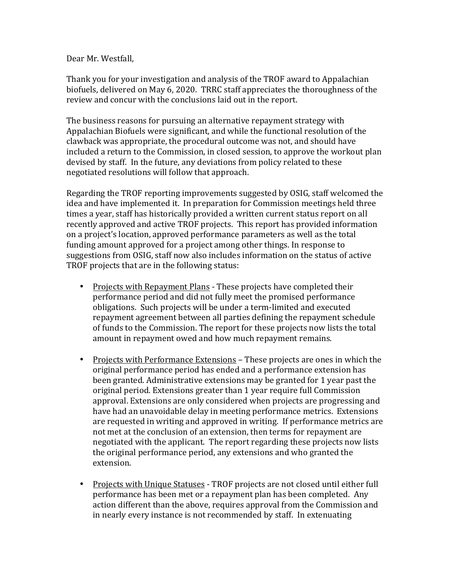## Dear Mr. Westfall,

Thank you for your investigation and analysis of the TROF award to Appalachian biofuels, delivered on May 6, 2020. TRRC staff appreciates the thoroughness of the review and concur with the conclusions laid out in the report.

The business reasons for pursuing an alternative repayment strategy with Appalachian Biofuels were significant, and while the functional resolution of the clawback was appropriate, the procedural outcome was not, and should have included a return to the Commission, in closed session, to approve the workout plan devised by staff. In the future, any deviations from policy related to these negotiated resolutions will follow that approach.

Regarding the TROF reporting improvements suggested by OSIG, staff welcomed the idea and have implemented it. In preparation for Commission meetings held three times a year, staff has historically provided a written current status report on all recently approved and active TROF projects. This report has provided information on a project's location, approved performance parameters as well as the total funding amount approved for a project among other things. In response to suggestions from OSIG, staff now also includes information on the status of active TROF projects that are in the following status:

- Projects with Repayment Plans These projects have completed their performance period and did not fully meet the promised performance obligations. Such projects will be under a term-limited and executed repayment agreement between all parties defining the repayment schedule of funds to the Commission. The report for these projects now lists the total amount in repayment owed and how much repayment remains.
- Projects with Performance Extensions These projects are ones in which the original performance period has ended and a performance extension has been granted. Administrative extensions may be granted for 1 year past the original period. Extensions greater than 1 year require full Commission approval. Extensions are only considered when projects are progressing and have had an unavoidable delay in meeting performance metrics. Extensions are requested in writing and approved in writing. If performance metrics are not met at the conclusion of an extension, then terms for repayment are negotiated with the applicant. The report regarding these projects now lists the original performance period, any extensions and who granted the extension.
- Projects with Unique Statuses TROF projects are not closed until either full performance has been met or a repayment plan has been completed. Any action different than the above, requires approval from the Commission and in nearly every instance is not recommended by staff. In extenuating